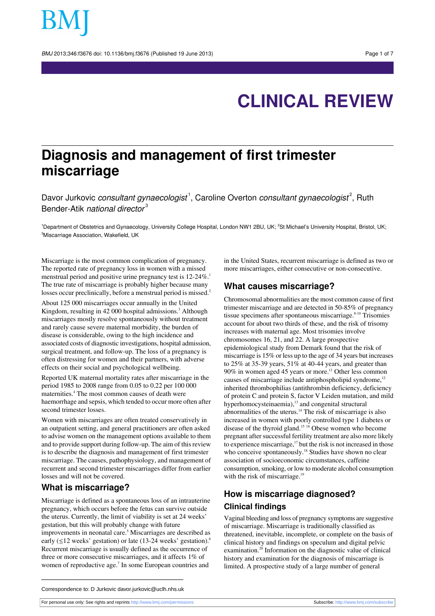BMJ 2013:346:f3676 doi: 10.1136/bmi.f3676 (Published 19 June 2013) Page 1 of 7

# **CLINICAL REVIEW**

# **Diagnosis and management of first trimester miscarriage**

Davor Jurkovic *consultant gynaecologist*<sup>1</sup>, Caroline Overton *consultant gynaecologist<sup>2</sup>,* Ruth Bender-Atik national director<sup>3</sup>

<sup>1</sup>Department of Obstetrics and Gynaecology, University College Hospital, London NW1 2BU, UK; <sup>2</sup>St Michael's University Hospital, Bristol, UK; <sup>3</sup>Miscarriage Association, Wakefield, UK

Miscarriage is the most common complication of pregnancy. The reported rate of pregnancy loss in women with a missed menstrual period and positive urine pregnancy test is 12-24%.<sup>1</sup> The true rate of miscarriage is probably higher because many losses occur preclinically, before a menstrual period is missed.<sup>2</sup>

About 125 000 miscarriages occur annually in the United Kingdom, resulting in 42 000 hospital admissions.<sup>3</sup> Although miscarriages mostly resolve spontaneously without treatment and rarely cause severe maternal morbidity, the burden of disease is considerable, owing to the high incidence and associated costs of diagnostic investigations, hospital admission, surgical treatment, and follow-up. The loss of a pregnancy is often distressing for women and their partners, with adverse effects on their social and psychological wellbeing.

Reported UK maternal mortality rates after miscarriage in the period 1985 to 2008 range from 0.05 to 0.22 per 100 000 maternities.<sup>4</sup> The most common causes of death were haemorrhage and sepsis, which tended to occur more often after second trimester losses.

Women with miscarriages are often treated conservatively in an outpatient setting, and general practitioners are often asked to advise women on the management options available to them and to provide support during follow-up. The aim of this review is to describe the diagnosis and management of first trimester miscarriage. The causes, pathophysiology, and management of recurrent and second trimester miscarriages differ from earlier losses and will not be covered.

#### **What is miscarriage?**

Miscarriage is defined as a spontaneous loss of an intrauterine pregnancy, which occurs before the fetus can survive outside the uterus. Currently, the limit of viability is set at 24 weeks' gestation, but this will probably change with future improvements in neonatal care.<sup>5</sup> Miscarriages are described as early ( $\leq$ 12 weeks' gestation) or late (13-24 weeks' gestation).<sup>6</sup> Recurrent miscarriage is usually defined as the occurrence of three or more consecutive miscarriages, and it affects 1% of women of reproductive age.<sup>7</sup> In some European countries and

in the United States, recurrent miscarriage is defined as two or more miscarriages, either consecutive or non-consecutive.

## **What causes miscarriage?**

Chromosomal abnormalities are the most common cause of first trimester miscarriage and are detected in 50-85% of pregnancy tissue specimens after spontaneous miscarriage.<sup>8-10</sup> Trisomies account for about two thirds of these, and the risk of trisomy increases with maternal age. Most trisomies involve chromosomes 16, 21, and 22. A large prospective epidemiological study from Demark found that the risk of miscarriage is 15% or less up to the age of 34 years but increases to 25% at 35-39 years, 51% at 40-44 years, and greater than 90% in women aged 45 years or more.<sup>11</sup> Other less common causes of miscarriage include antiphospholipid syndrome, $12$ inherited thrombophilias (antithrombin deficiency, deficiency of protein C and protein S, factor V Leiden mutation, and mild hyperhomocysteinaemia),<sup>13</sup> and congenital structural abnormalities of the uterus. $14$  The risk of miscarriage is also increased in women with poorly controlled type 1 diabetes or disease of the thyroid gland.<sup>15</sup> <sup>16</sup> Obese women who become pregnant after successful fertility treatment are also more likely to experience miscarriage, $17$  but the risk is not increased in those who conceive spontaneously.<sup>18</sup> Studies have shown no clear association of socioeconomic circumstances, caffeine consumption, smoking, or low to moderate alcohol consumption with the risk of miscarriage.<sup>19</sup>

## **How is miscarriage diagnosed? Clinical findings**

Vaginal bleeding and loss of pregnancy symptoms are suggestive of miscarriage. Miscarriage is traditionally classified as threatened, inevitable, incomplete, or complete on the basis of clinical history and findings on speculum and digital pelvic examination.<sup>20</sup> Information on the diagnostic value of clinical history and examination for the diagnosis of miscarriage is limited. A prospective study of a large number of general

Correspondence to: D Jurkovic davor.jurkovic@uclh.nhs.uk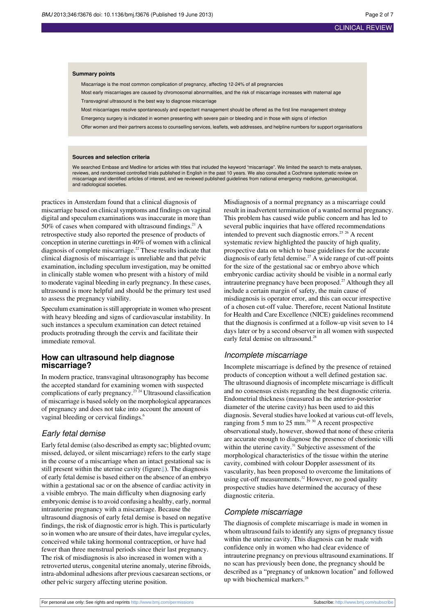#### **Summary points**

Miscarriage is the most common complication of pregnancy, affecting 12-24% of all pregnancies

Most early miscarriages are caused by chromosomal abnormalities, and the risk of miscarriage increases with maternal age Transvaginal ultrasound is the best way to diagnose miscarriage

Most miscarriages resolve spontaneously and expectant management should be offered as the first line management strategy

Emergency surgery is indicated in women presenting with severe pain or bleeding and in those with signs of infection

Offer women and their partners access to counselling services, leaflets, web addresses, and helpline numbers for support organisations

#### **Sources and selection criteria**

We searched Embase and Medline for articles with titles that included the keyword "miscarriage". We limited the search to meta-analyses, reviews, and randomised controlled trials published in English in the past 10 years. We also consulted a Cochrane systematic review on<br>miscarriage and identified articles of interest, and we reviewed published guidelines f and radiological societies.

practices in Amsterdam found that a clinical diagnosis of miscarriage based on clinical symptoms and findings on vaginal digital and speculum examinations was inaccurate in more than 50% of cases when compared with ultrasound findings. $21$  A retrospective study also reported the presence of products of conception in uterine curettings in 40% of women with a clinical diagnosis of complete miscarriage.<sup>22</sup> These results indicate that clinical diagnosis of miscarriage is unreliable and that pelvic examination, including speculum investigation, may be omitted in clinically stable women who present with a history of mild to moderate vaginal bleeding in early pregnancy. In these cases, ultrasound is more helpful and should be the primary test used to assess the pregnancy viability.

Speculum examination isstill appropriate in women who present with heavy bleeding and signs of cardiovascular instability. In such instances a speculum examination can detect retained products protruding through the cervix and facilitate their immediate removal.

#### **How can ultrasound help diagnose miscarriage?**

In modern practice, transvaginal ultrasonography has become the accepted standard for examining women with suspected complications of early pregnancy.<sup>23</sup> <sup>24</sup> Ultrasound classification of miscarriage is based solely on the morphological appearances of pregnancy and does not take into account the amount of vaginal bleeding or cervical findings.<sup>6</sup>

#### Early fetal demise

Early fetal demise (also described as empty sac; blighted ovum; missed, delayed, or silent miscarriage) refers to the early stage in the course of a miscarriage when an intact gestational sac is still present within the uterine cavity (figure**↓)**. The diagnosis of early fetal demise is based either on the absence of an embryo within a gestational sac or on the absence of cardiac activity in a visible embryo. The main difficulty when diagnosing early embryonic demise isto avoid confusing a healthy, early, normal intrauterine pregnancy with a miscarriage. Because the ultrasound diagnosis of early fetal demise is based on negative findings, the risk of diagnostic error is high. This is particularly so in women who are unsure of their dates, have irregular cycles, conceived while taking hormonal contraception, or have had fewer than three menstrual periods since their last pregnancy. The risk of misdiagnosis is also increased in women with a retroverted uterus, congenital uterine anomaly, uterine fibroids, intra-abdominal adhesions after previous caesarean sections, or other pelvic surgery affecting uterine position.

Misdiagnosis of a normal pregnancy as a miscarriage could result in inadvertent termination of a wanted normal pregnancy. This problem has caused wide public concern and has led to several public inquiries that have offered recommendations intended to prevent such diagnostic errors.<sup>25 26</sup> A recent systematic review highlighted the paucity of high quality, prospective data on which to base guidelines for the accurate diagnosis of early fetal demise.<sup>27</sup> A wide range of cut-off points for the size of the gestational sac or embryo above which embryonic cardiac activity should be visible in a normal early intrauterine pregnancy have been proposed.<sup>27</sup> Although they all include a certain margin of safety, the main cause of misdiagnosis is operator error, and this can occur irrespective of a chosen cut-off value. Therefore, recent National Institute for Health and Care Excellence (NICE) guidelines recommend that the diagnosis is confirmed at a follow-up visit seven to 14 days later or by a second observer in all women with suspected early fetal demise on ultrasound.<sup>28</sup>

#### Incomplete miscarriage

Incomplete miscarriage is defined by the presence of retained products of conception without a well defined gestation sac. The ultrasound diagnosis of incomplete miscarriage is difficult and no consensus exists regarding the best diagnostic criteria. Endometrial thickness (measured as the anterior-posterior diameter of the uterine cavity) has been used to aid this diagnosis. Several studies have looked at various cut-off levels, ranging from 5 mm to 25 mm. $^{29}$  30 A recent prospective observational study, however, showed that none of these criteria are accurate enough to diagnose the presence of chorionic villi within the uterine cavity.<sup>31</sup> Subjective assessment of the morphological characteristics of the tissue within the uterine cavity, combined with colour Doppler assessment of its vascularity, has been proposed to overcome the limitations of using cut-off measurements.<sup>32</sup> However, no good quality prospective studies have determined the accuracy of these diagnostic criteria.

#### Complete miscarriage

The diagnosis of complete miscarriage is made in women in whom ultrasound fails to identify any signs of pregnancy tissue within the uterine cavity. This diagnosis can be made with confidence only in women who had clear evidence of intrauterine pregnancy on previous ultrasound examinations. If no scan has previously been done, the pregnancy should be described as a "pregnancy of unknown location" and followed up with biochemical markers.<sup>28</sup>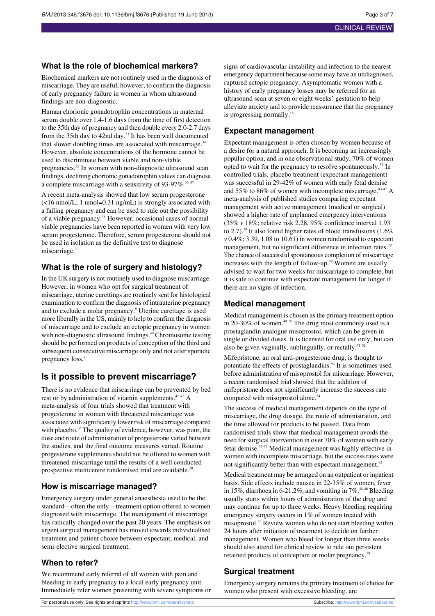#### **What is the role of biochemical markers?**

Biochemical markers are not routinely used in the diagnosis of miscarriage. They are useful, however, to confirm the diagnosis of early pregnancy failure in women in whom ultrasound findings are non-diagnostic.

Human chorionic gonadotrophin concentrations in maternal serum double over 1.4-1.6 days from the time of first detection to the 35th day of pregnancy and then double every 2.0-2.7 days from the 35th day to 42nd day.<sup>33</sup> It has been well documented that slower doubling times are associated with miscarriage. $34$ However, absolute concentrations of the hormone cannot be used to discriminate between viable and non-viable pregnancies.<sup>35</sup> In women with non-diagnostic ultrasound scan findings, declining chorionic gonadotrophin values can diagnose a complete miscarriage with a sensitivity of 93-97%.<sup>36 37</sup>

A recent meta-analysis showed that low serum progesterone (<16 nmol/L; 1 nmol=0.31 ng/mL) is strongly associated with a failing pregnancy and can be used to rule out the possibility of a viable pregnancy.<sup>38</sup> However, occasional cases of normal viable pregnancies have been reported in women with very low serum progesterone. Therefore, serum progesterone should not be used in isolation as the definitive test to diagnose miscarriage.<sup>39</sup>

#### **What is the role of surgery and histology?**

In the UK surgery is not routinely used to diagnose miscarriage. However, in women who opt for surgical treatment of miscarriage, uterine curettings are routinely sent for histological examination to confirm the diagnosis of intrauterine pregnancy and to exclude a molar pregnancy.<sup>6</sup> Uterine curettage is used more liberally in the US, mainly to help to confirm the diagnosis of miscarriage and to exclude an ectopic pregnancy in women with non-diagnostic ultrasound findings.<sup>40</sup> Chromosome testing should be performed on products of conception of the third and subsequent consecutive miscarriage only and not after sporadic pregnancy loss.<sup>7</sup>

## **Is it possible to prevent miscarriage?**

There is no evidence that miscarriage can be prevented by bed rest or by administration of vitamin supplements.<sup>41 42</sup> A meta-analysis of four trials showed that treatment with progesterone in women with threatened miscarriage was associated with significantly lower risk of miscarriage compared with placebo.<sup>28</sup> The quality of evidence, however, was poor, the dose and route of administration of progesterone varied between the studies, and the final outcome measures varied. Routine progesterone supplements should not be offered to women with threatened miscarriage until the results of a well conducted prospective multicentre randomised trial are available.<sup>28</sup>

#### **How is miscarriage managed?**

Emergency surgery under general anaesthesia used to be the standard—often the only—treatment option offered to women diagnosed with miscarriage. The management of miscarriage has radically changed over the past 20 years. The emphasis on urgent surgical management has moved towards individualised treatment and patient choice between expectant, medical, and semi-elective surgical treatment.

#### **When to refer?**

We recommend early referral of all women with pain and bleeding in early pregnancy to a local early pregnancy unit. Immediately refer women presenting with severe symptoms or signs of cardiovascular instability and infection to the nearest emergency department because some may have an undiagnosed, ruptured ectopic pregnancy. Asymptomatic women with a history of early pregnancy losses may be referred for an ultrasound scan at seven or eight weeks' gestation to help alleviate anxiety and to provide reassurance that the pregnancy is progressing normally.<sup>18</sup>

#### **Expectant management**

Expectant management is often chosen by women because of a desire for a natural approach. It is becoming an increasingly popular option, and in one observational study, 70% of women opted to wait for the pregnancy to resolve spontaneously.<sup>32</sup> In controlled trials, placebo treatment (expectant management) was successful in 29-42% of women with early fetal demise and 55% to 86% of women with incomplete miscarriage. $43-47$  A meta-analysis of published studies comparing expectant management with active management (medical or surgical) showed a higher rate of unplanned emergency interventions (35% *v* 18%; relative risk 2.28, 95% confidence interval 1.93 to 2.7).<sup>28</sup> It also found higher rates of blood transfusions  $(1.6\%)$  $v$  0.4%; 3.39, 1.08 to 10.61) in women randomised to expectant management, but no significant difference in infection rates.<sup>28</sup> The chance of successful spontaneous completion of miscarriage increases with the length of follow-up.<sup>48</sup> Women are usually advised to wait for two weeks for miscarriage to complete, but it is safe to continue with expectant management for longer if there are no signs of infection.

#### **Medical management**

Medical management is chosen asthe primary treatment option in 20-30% of women. $49\frac{50}{10}$  The drug most commonly used is a prostaglandin analogue misoprostol, which can be given in single or divided doses. It is licensed for oral use only, but can also be given vaginally, sublingually, or rectally. $5152$ 

Mifepristone, an oral anti-progesterone drug, is thought to potentiate the effects of prostaglandins.<sup>53</sup> It is sometimes used before administration of misoprostol for miscarriage. However, a recent randomised trial showed that the addition of mifepristone does not significantly increase the success rate compared with misoprostol alone.<sup>5</sup>

The success of medical management depends on the type of miscarriage, the drug dosage, the route of administration, and the time allowed for products to be passed. Data from randomised trials show that medical management avoids the need for surgical intervention in over 70% of women with early fetal demise.<sup>43-47</sup> Medical management was highly effective in women with incomplete miscarriage, but the success rates were not significantly better than with expectant management.<sup>45</sup>

Medical treatment may be arranged on an outpatient or inpatient basis. Side effects include nausea in 22-35% of women, fever in 15%, diarrhoea in 6-21.2%, and vomiting in  $7\%$ .<sup>4446</sup> Bleeding usually starts within hours of administration of the drug and may continue for up to three weeks. Heavy bleeding requiring emergency surgery occurs in 1% of women treated with misoprostol.<sup>55</sup> Review women who do not start bleeding within 24 hours after initiation of treatment to decide on further management. Women who bleed for longer than three weeks should also attend for clinical review to rule out persistent retained products of conception or molar pregnancy.<sup>28</sup>

#### **Surgical treatment**

Emergency surgery remains the primary treatment of choice for women who present with excessive bleeding, are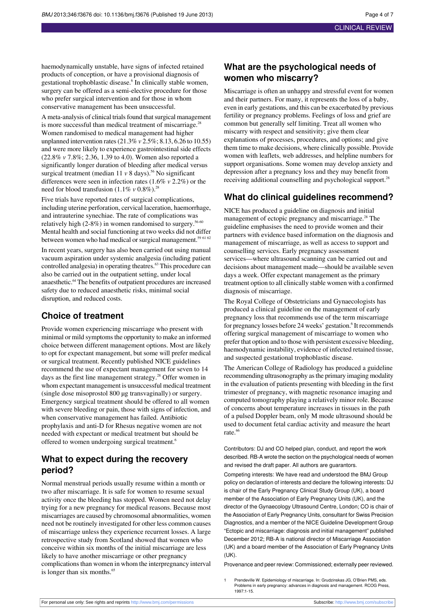haemodynamically unstable, have signs of infected retained products of conception, or have a provisional diagnosis of gestational trophoblastic disease.<sup>6</sup> In clinically stable women, surgery can be offered as a semi-elective procedure for those who prefer surgical intervention and for those in whom conservative management has been unsuccessful.

A meta-analysis of clinical trials found that surgical management is more successful than medical treatment of miscarriage.<sup>28</sup> Women randomised to medical management had higher unplanned intervention rates(21.3% *v* 2.5%; 8.13, 6.26 to 10.55) and were more likely to experience gastrointestinal side effects (22.8% *v* 7.8%; 2.36, 1.39 to 4.0). Women also reported a significantly longer duration of bleeding after medical versus surgical treatment (median  $11 \nu 8$  days).<sup>56</sup> No significant differences were seen in infection rates (1.6% *v* 2.2%) or the need for blood transfusion  $(1.1\% \text{ v } 0.8\%).$ <sup>28</sup>

Five trials have reported rates of surgical complications, including uterine perforation, cervical laceration, haemorrhage, and intrauterine synechiae. The rate of complications was relatively high (2-8%) in women randomised to surgery.<sup>56-60</sup> Mental health and social functioning at two weeks did not differ between women who had medical or surgical management.<sup>59 61 62</sup>

In recent years, surgery has also been carried out using manual vacuum aspiration under systemic analgesia (including patient controlled analgesia) in operating theatres.<sup>63</sup> This procedure can also be carried out in the outpatient setting, under local anaesthetic.<sup>64</sup> The benefits of outpatient procedures are increased safety due to reduced anaesthetic risks, minimal social disruption, and reduced costs.

## **Choice of treatment**

Provide women experiencing miscarriage who present with minimal or mild symptoms the opportunity to make an informed choice between different management options. Most are likely to opt for expectant management, but some will prefer medical or surgical treatment. Recently published NICE guidelines recommend the use of expectant management for seven to 14 days as the first line management strategy.<sup>28</sup> Offer women in whom expectant management is unsuccessful medical treatment (single dose misoprostol 800 µg transvaginally) or surgery. Emergency surgical treatment should be offered to all women with severe bleeding or pain, those with signs of infection, and when conservative management has failed. Antibiotic prophylaxis and anti-D for Rhesus negative women are not needed with expectant or medical treatment but should be offered to women undergoing surgical treatment.<sup>6</sup>

## **What to expect during the recovery period?**

Normal menstrual periods usually resume within a month or two after miscarriage. It is safe for women to resume sexual activity once the bleeding has stopped. Women need not delay trying for a new pregnancy for medical reasons. Because most miscarriages are caused by chromosomal abnormalities, women need not be routinely investigated for other less common causes of miscarriage unless they experience recurrent losses. A large retrospective study from Scotland showed that women who conceive within six months of the initial miscarriage are less likely to have another miscarriage or other pregnancy complications than women in whom the interpregnancy interval is longer than six months.<sup>65</sup>

## **What are the psychological needs of women who miscarry?**

Miscarriage is often an unhappy and stressful event for women and their partners. For many, it represents the loss of a baby, even in early gestations, and this can be exacerbated by previous fertility or pregnancy problems. Feelings of loss and grief are common but generally self limiting. Treat all women who miscarry with respect and sensitivity; give them clear explanations of processes, procedures, and options; and give them time to make decisions, where clinically possible. Provide women with leaflets, web addresses, and helpline numbers for support organisations. Some women may develop anxiety and depression after a pregnancy loss and they may benefit from receiving additional counselling and psychological support.<sup>28</sup>

## **What do clinical guidelines recommend?**

NICE has produced a guideline on diagnosis and initial management of ectopic pregnancy and miscarriage.<sup>28</sup> The guideline emphasises the need to provide women and their partners with evidence based information on the diagnosis and management of miscarriage, as well as access to support and counselling services. Early pregnancy assessment services—where ultrasound scanning can be carried out and decisions about management made—should be available seven days a week. Offer expectant management as the primary treatment option to all clinically stable women with a confirmed diagnosis of miscarriage.

The Royal College of Obstetricians and Gynaecologists has produced a clinical guideline on the management of early pregnancy loss that recommends use of the term miscarriage for pregnancy losses before 24 weeks' gestation.<sup>6</sup> It recommends offering surgical management of miscarriage to women who prefer that option and to those with persistent excessive bleeding, haemodynamic instability, evidence of infected retained tissue, and suspected gestational trophoblastic disease.

The American College of Radiology has produced a guideline recommending ultrasonography asthe primary imaging modality in the evaluation of patients presenting with bleeding in the first trimester of pregnancy, with magnetic resonance imaging and computed tomography playing a relatively minor role. Because of concerns about temperature increases in tissues in the path of a pulsed Doppler beam, only M mode ultrasound should be used to document fetal cardiac activity and measure the heart rate.<sup>66</sup>

Contributors: DJ and CO helped plan, conduct, and report the work described. RB-A wrote the section on the psychological needs of women and revised the draft paper. All authors are guarantors.

Competing interests: We have read and understood the BMJ Group policy on declaration of interests and declare the following interests: DJ is chair of the Early Pregnancy Clinical Study Group (UK), a board member of the Association of Early Pregnancy Units (UK), and the director of the Gynaecology Ultrasound Centre, London; CO is chair of the Association of Early Pregnancy Units, consultant for Swiss Precision Diagnostics, and a member of the NICE Guideline Development Group "Ectopic and miscarriage: diagnosis and initial management" published December 2012; RB-A is national director of Miscarriage Association (UK) and a board member of the Association of Early Pregnancy Units  $(IIK)$ .

Provenance and peer review: Commissioned; externally peer reviewed.

Prendeville W. Epidemiology of miscarriage. In: Grudzinskas JG, O'Brien PMS, eds. Problems in early pregnancy: advances in diagnosis and management. RCOG Press, 1997:1-15.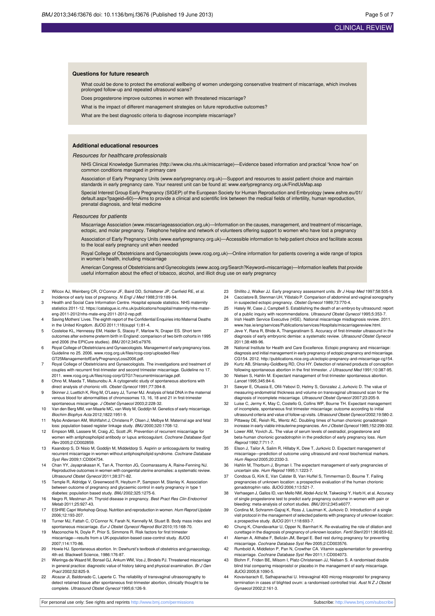#### **Questions for future research**

What could be done to protect the emotional wellbeing of women undergoing conservative treatment of miscarriage, which involves prolonged follow-up and repeated ultrasound scans?

Does progesterone improve outcomes in women with threatened miscarriage?

What is the impact of different management strategies on future reproductive outcomes?

What are the best diagnostic criteria to diagnose incomplete miscarriage?

#### **Additional educational resources**

#### Resources for healthcare professionals

NHS Clinical Knowledge Summaries [\(http://www.cks.nhs.uk/miscarriage\)](http://www.cks.nhs.uk/miscarriage)—Evidence based information and practical "know how" on common conditions managed in primary care

Association of Early Pregnancy Units ([www.earlypregnancy.org.uk](http://www.earlypregnancy.org.uk/))—Support and resources to assist patient choice and maintain standards in early pregnancy care. Your nearest unit can be found at: [www.earlypregnancy.org.uk/FindUsMap.asp](http://www.earlypregnancy.org.uk/FindUsMap.asp)

Special Interest Group Early Pregnancy (SIGEP) of the European Society for Human Reproduction and Embryology ([www.eshre.eu/01/](http://www.eshre.eu/01/default.aspx?pageid=60) [default.aspx?pageid=60](http://www.eshre.eu/01/default.aspx?pageid=60))—Aims to provide a clinical and scientific link between the medical fields of infertility, human reproduction, prenatal diagnosis, and fetal medicine

#### Resources for patients

Miscarriage Association [\(www.miscarriageassociation.org.uk](http://www.miscarriageassociation.org.uk/))—Information on the causes, management, and treatment of miscarriage, ectopic, and molar pregnancy. Telephone helpline and network of volunteers offering support to women who have lost a pregnancy

Association of Early Pregnancy Units [\(www.earlypregnancy.org.uk\)](http://www.earlypregnancy.org.uk/)—Accessible information to help patient choice and facilitate access to the local early pregnancy unit when needed

Royal College of Obstetricians and Gynaecologists [\(www.rcog.org.uk\)](http://www.rcog.org.uk/)—Online information for patients covering a wide range of topics in women's health, including miscarriage

American Congress of Obstetricians and Gynecologists [\(www.acog.org/Search?Keyword=miscarriage](http://www.acog.org/Search?Keyword=miscarriage))—Information leaflets that provide<br>useful information about the effect of tobacco, alcohol, and illicit drug use on early pregna

- 2 Wilcox AJ, Weinberg CR, O'Connor JF, Baird DD, Schlatterer JP, Canfield RE, et al. Incidence of early loss of pregnancy. N Engl J Med 1988;319:189-94.
- 3 Health and Social Care Information Centre. Hospital episode statistics. NHS maternity statistics 2011-12. https://catalogue.ic.nhs.uk/publications/hospital/maternity/nhs-mater-
- eng-2011-2012/nhs-mate-eng-2011-2012-rep.pdf. 4 Saving Mothers' Lives. The eighth report of the Confidential Enquiries into Maternal Deaths in the United Kingdom. BJOG 2011;118(suppl 1):81-4.
- 5 Costeloe KL, Hennessy EM, Haider S, Stacey F, Marlow N, Draper ES. Short term outcomes after extreme preterm birth in England: comparison of two birth cohorts in 1995
- and 2006 (the EPICure studies). BMJ 2012;345:e7976. 6 Royal College of Obstetricians and Gynaecologists. Management of early pregnancy loss. Guideline no 25. 2006. [www.rcog.org.uk/files/rcog-corp/uploaded-files/](http://www.rcog.org.uk/files/rcog-corp/uploaded-files/GT25ManagementofEarlyPregnancyLoss2006.pdf)
- [GT25ManagementofEarlyPregnancyLoss2006.pdf.](http://www.rcog.org.uk/files/rcog-corp/uploaded-files/GT25ManagementofEarlyPregnancyLoss2006.pdf) 7 Royal College of Obstetricians and Gynaecologists. The investigations and treatment of couples with recurrent first-trimester and second trimester miscarriage. Guideline no 17.
- 2011. [www.rcog.org.uk/files/rcog-corp/GTG17recurrentmiscarriage.pdf](http://www.rcog.org.uk/files/rcog-corp/GTG17recurrentmiscarriage.pdf). 8 Ohno M, Maeda T, Matsunobu A. A cytogenetic study of spontaneous abortions with M
- direct analysis of chorionic villi. Obstet Gynecol 1991;77:394-8.
- Skinner J, Luettich K, Ring M, O'Leary JJ, Turner MJ. Analysis of fetal DNA in the maternal venous blood for abnormalities of chromosomes 13, 16, 18 and 21 in first-trimester spontaneous miscarriage. J Obstet Gynaecol 2003;2:228-32.
- 10 Van den Berg MM, van Maarle MC, van Wely M, Goddijn M. Genetics of early miscarriage. Biochim Biophys Acta 2012;1822:1951-9.
- 11 Nybo Andersen AM, Wohlfahrt J, Christens P, Olsen J, Melbye M. Maternal age and fetal loss: population based register linkage study. BMJ 2000;320:1708-12. 12 Empson MB, Lassere M, Craig JC, Scott JR. Prevention of recurrent miscarriage for
- women with antiphospholipid antibody or lupus anticoagulant. Cochrane Database Syst Rev 2005;2:CD002859.
- 13 Kaandorp S, Di Nisio M, Goddijn M, Middeldorp S. Aspirin or anticoagulants for treating recurrent miscarriage in women without antiphospholipid syndrome. Cochrane Database Syst Rev 2009;1:CD004734.
- 14 Chan YY, Jayaprakasan K, Tan A, Thornton JG, Coomarasamy A, Raine-Fenning NJ. Reproductive outcomes in women with congenital uterine anomalies: a systematic review. Ultrasound Obstet Gynecol 2011;38:371-82.
- 15 Temple R, Aldridge V, Greenwood R, Heyburn P, Sampson M, Stanley K. Association between outcome of pregnancy and glycaemic control in early pregnancy in type 1 diabetes: population based study. BMJ 2002;325:1275-6.
- 16 Negro R, Mestman JH. Thyroid disease in pregnancy. Best Pract Res Clin Endocrinol Metab 2011;25:927-43.
- 17 ESHRE Capri Workshop Group. Nutrition and reproduction in women. Hum Reprod Update 2006;12:193-207.
- 18 Turner MJ, Fattah C, O'Connor N, Farah N, Kennelly M, Stuart B. Body mass index and
- spontaneous miscarriage. Eur J Obstet Gynecol Reprod Biol 2010;15:168-70. 19 Maconochie N, Doyle P, Prior S, Simmons R. Risk factors for first trimester miscarriage—results from a UK-population-based case-control study. BJOG 2007;114:170-86.
- 20 Howie HJ. Spontaneous abortion. In: Dewhurst's textbook of obstetrics and gynaecology. 4th ed. Blackwell Science, 1986:176-87.
- 21 Wieringa-de Waard M, Bonsel GJ, Ankum WM, Vos J, Bindels PJ. Threatened miscarriage in general practice: diagnostic value of history taking and physical examination. Br J Gen Pract 2002;52:825-9.
- 22 Alcazar Jl, Baldonado C, Laperte C. The reliability of transvaginal ultrasonography to detect retained tissue after spontaneous first-trimester abortion, clinically thought to be complete. Ultrasound Obstet Gynecol 1995;6:126-9.
- 23 Shillito J, Walker JJ. Early pregnancy assessment units. Br J Hosp Med 1997;58:505-9.
- Cacciatore B, Stenman UH, Ylöstalo P. Comparison of abdominal and vaginal sonography in suspected ectopic pregnancy. Obstet Gynecol 1989;73:770-4.
- 25 Hately W, Case J, Campbell S. Establishing the death of an embryo by ultrasound: report of a public inquiry with recommendations. Ultrasound Obstet Gynecol 1995;5:353-7. 26 Irish Health Service Executive (HSE). National miscarriage misdiagnosis review. 2011.
- [www.hse.ie/eng/services/Publications/services/Hospitals/miscarriagereview.html](http://www.hse.ie/eng/services/Publications/services/Hospitals/miscarriagereview.html). 27 Jeve Y, Rana R, Bhide A, Thangaratinam S. Accuracy of first-trimester ultrasound in the
- diagnosis of early embryonic demise: a systematic review. Ultrasound Obstet Gyr 2011;38:489-96.
- 28 National Institute for Health and Care Excellence. Ectopic pregnancy and miscarriage: diagnosis and initial management in early pregnancy of ectopic pregnancy and miscarriage. CG154. 2012. <http://publications.nice.org.uk/ectopic-pregnancy-and-miscarriage-cg154>.
- 29 Kurtz AB, Shlansky-Goldberg RD, Choi HY. Detection of retained products of conception following spontaneous abortion in the first trimester. J Ultrasound Med 1991;10:387-95. 30 Nielsen S, Hahlin M. Expectant management of first-trimester spontaneous abortion.
- Lancet 1995;345:84-6. 31 Sawyer E, Ofuasia E, Ofili-Yebovi D, Helmy S, Gonzalez J, Jurkovic D. The value of
- measuring endometrial thickness and volume on transvaginal ultrasound scan for the diagnosis of incomplete miscarriage. Ultrasound Obstet Gynecol 2007;23:205-9.
- 32 Luise C, Jermy K, May C, Costello G, Collins WP, Bourne TH. Expectant management of incomplete, spontaneous first trimester miscarriage: outcome according to initial ultrasound criteria and value of follow-up visits. Ultrasound Obstet Gynecol 2002;19:580-2.
- 33 Pittaway DE, Reish RL, Wentz AC. Doubling times of human chorionic gonadotrop increase in early viable intrauterine pregnancies. Am J Obstet Gynecol 1985;152:299-302. 34 Lower AM, Yovich JL. The value of serum levels of oestradiol, progesterone and
- beta-human chorionic gonadotrophin in the prediction of early pregnancy loss. Hum Reprod 1992;7:711-7.
- 35 Elson J, Tailor A, Salim R, Hillaby K, Dew T, Jurkovic D. Expectant management of miscarriage—prediction of outcome using ultrasound and novel biochemical markers. Hum Reprod 2005;20:2330-3.
- 36 Hahlin M, Thorburn J, Bryman I. The expectant management of early pregnancies of uncertain site. Hum Reprod 1995;1:1223-7.
- 37 Condous G, Kirk E, Van Calster B, Van Huffel S, Timmerman D, Bourne T. Failing pregnancies of unknown location: a prospective evaluation of the human chorionic gonadotrophin ratio. BJOG 2006;113:521-7.
- 38 Verhaegen J, Gallos ID, van Mello NM, Abdel-Aziz M, Takwoingi Y, Harb H, et al. Accuracy of single progesterone test to predict early pregnancy outcome in women with pain or bleeding: meta-analysis of cohort studies. BMJ 2012;345:e6077.
- 39 Cordina M, Schramm-Gajraj K, Ross J, Lautman K, Jurkovic D. Introduction of a single visit protocol in the management of selected patients with pregnancy of unknown location: a prospective study. BJOG 2011;118:693-7.
- 40 Chung K, Chandavarkar U, Opper N, Barnhart K. Re-evaluating the role of dilation and curettage in the diagnosis of pregnancy of unknown location. Fertil Steril 2011;96:659-62.
- 41 Aleman A, Althabe F, Belizán JM, Bergel E. Bed rest during pregnancy for preventing miscarriage. Cochrane Database Syst Rev 2005;2:CD003576.
- 42 Rumbold A, Middleton P, Pan N, Crowther CA. Vitamin supplementation for preventing miscarriage. Cochrane Database Syst Rev 2011;1:CD004073.
- 43 Blohm F, Friden BE, Milsom I, Platz-Christensen JJ, Nielsen S. A randomised double blind trial comparing misoprostol or placebo in the management of early miscarriage. BJOG 2005;8:1090-5.
- 44 Kovavisarach E, Sathapanachai U. Intravaginal 400 microg misoprostol for pregnancy termination in cases of blighted ovum: a randomised controlled trial. Aust N Z J Obstet Gynaecol 2002;2:161-3.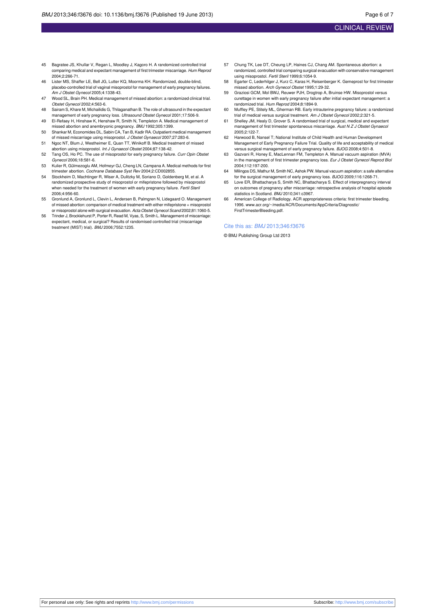#### CLINICAL REVIEW

- 45 Bagratee JS, Khullar V, Regan L, Moodley J, Kagoro H. A randomized controlled trial comparing medical and expectant management of first trimester miscarriage. Hum Reprod 2004;2:266-71.
- 46 Lister MS, Shaffer LE, Bell JG, Lutter KQ, Moorma KH. Randomized, double-blind, placebo-controlled trial of vaginal misoprostol for management of early pregnancy failures.<br>*Am J Obstet Gynecol* 2005;4:1338-43.
- 47 Wood SL, Brain PH. Medical management of missed abortion: a randomized clinical trial. Obstet Gynecol 2002;4:563-6.
- 48 Sairam S, Khare M, Michailidis G, Thilaganathan B. The role of ultrasound in the expectant management of early pregnancy loss. Ultrasound Obstet Gynecol 2001;17:506-9.
- 49 El-Refaey H, Hinshaw K, Henshaw R, Smith N, Templeton A. Medical management of missed abortion and anembryonic pregnancy. BMJ 1992;305:1399.
- 50 Shankar M, Economides DL, Sabin CA, Tan B, Kadir RA. Outpatient medical management of missed miscarriage using misoprostol. J Obstet Gynaecol 2007;27:283-6.
- 51 Ngoc NT, Blum J, Westheimer E, Quan TT, Winikoff B. Medical treatment of missed abortion using misoprostol. Int J Gynaecol Obstet 2004;87:138-42.
- 52 Tang OS, Ho PC. The use of misoprostol for early pregnancy failure. Curr Opin Obstet Gynecol 2006;18:581-6.
- 53 Kulier R, Gülmezoglu AM, Hofmeyr GJ, Cheng LN, Campana A. Medical methods for first trimester abortion. Cochrane Database Syst Rev 2004;2:CD002855.
- 54 Stockheim D, Machtinger R, Wiser A, Dulitzky M, Soriano D, Goldenberg M, et al. A randomized prospective study of misoprostol or mifepristone followed by misoprostol when needed for the treatment of women with early pregnancy failure. Fertil Steril 2006;4:956-60.
- 55 Gronlund A, Gronlund L, Clevin L, Andersen B, Palmgren N, Lidegaard O. Management of missed abortion: comparison of medical treatment with either mifepristone + misoprostol or misoprostol alone with surgical evacuation. Acta Obstet Gynecol Scand 2002;81:1060-5.
- 56 Trinder J, Brocklehurst P, Porter R, Read M, Vyas, S, Smith L. Management of miscarriage: expectant, medical, or surgical? Results of randomised controlled trial (miscarriage treatment (MIST) trial). BMJ 2006;7552:1235.
- 57 Chung TK, Lee DT, Cheung LP, Haines CJ, Chang AM. Spontaneous abortion: a randomized, controlled trial comparing surgical evacuation with conservative management using misoprostol. Fertil Steril 1999;6:1054-9.
- 58 Egarter C, Lederhilger J, Kurz C, Karas H, Reisenberger K. Gemeprost for first trimester missed abortion. Arch Gynecol Obstet 1995;1:29-32.
- 59 Graziosi GCM, Mol BWJ, Reuwer PJH, Drogtrop A, Bruinse HW. Misoprostol versus curettage in women with early pregnancy failure after initial expectant management: a randomized trial. Hum Reprod 2004;8:1894-9.
- 60 Muffley PE, Stitely ML, Gherman RB. Early intrauterine pregnancy failure: a randomized trial of medical versus surgical treatment. Am J Obstet Gynecol 2002;2:321-5.
- 61 Shelley JM, Healy D, Grover S. A randomised trial of surgical, medical and expectant management of first trimester spontaneous miscarriage. Aust N Z J Obstet Gynaecol 2005;2:122-7.
- 62 Harwood B, Nansel T; National Institute of Child Health and Human Development Management of Early Pregnancy Failure Trial. Quality of life and acceptability of medical
- versus surgical management of early pregnancy failure. BJOG 2008;4:501-8. 63 Gazvani R, Honey E, MacLennan FM, Templeton A. Manual vacuum aspiration (MVA) in the management of first trimester pregnancy loss. Eur J Obstet Gynecol Reprod Bio. 2004;112:197-200.
- 64 Milingos DS, Mathur M, Smith NC, Ashok PW. Manual vacuum aspiration: a safe alternative for the surgical management of early pregnancy loss. BJOG 2009;116:1268-71.
- 65 Love ER, Bhattacharya S, Smith NC, Bhattacharya S. Effect of interpregnancy interval on outcomes of pregnancy after miscarriage: retrospective analysis of hospital episode statistics in Scotland. BMJ 2010;341:c3967.
- 66 American College of Radiology. ACR appropriateness criteria: first trimester bleeding. 1996. [www.acr.org/~/media/ACR/Documents/AppCriteria/Diagnostic/](http://www.acr.org/~/media/ACR/Documents/AppCriteria/Diagnostic/FirstTrimesterBleeding.pdf) [FirstTrimesterBleeding.pdf.](http://www.acr.org/~/media/ACR/Documents/AppCriteria/Diagnostic/FirstTrimesterBleeding.pdf)

#### Cite this as: BMJ 2013;346:f3676

© BMJ Publishing Group Ltd 2013